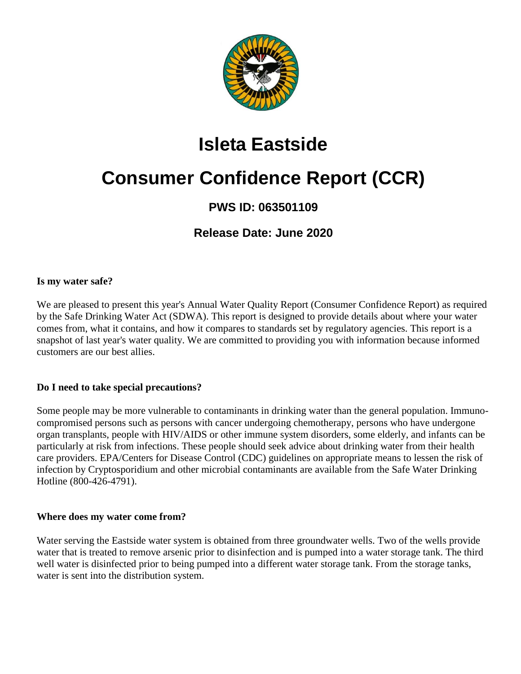

## **Isleta Eastside**

# **Consumer Confidence Report (CCR)**

### **PWS ID: 063501109**

**Release Date: June 2020**

#### **Is my water safe?**

We are pleased to present this year's Annual Water Quality Report (Consumer Confidence Report) as required by the Safe Drinking Water Act (SDWA). This report is designed to provide details about where your water comes from, what it contains, and how it compares to standards set by regulatory agencies. This report is a snapshot of last year's water quality. We are committed to providing you with information because informed customers are our best allies.

#### **Do I need to take special precautions?**

Some people may be more vulnerable to contaminants in drinking water than the general population. Immunocompromised persons such as persons with cancer undergoing chemotherapy, persons who have undergone organ transplants, people with HIV/AIDS or other immune system disorders, some elderly, and infants can be particularly at risk from infections. These people should seek advice about drinking water from their health care providers. EPA/Centers for Disease Control (CDC) guidelines on appropriate means to lessen the risk of infection by Cryptosporidium and other microbial contaminants are available from the Safe Water Drinking Hotline (800-426-4791).

#### **Where does my water come from?**

Water serving the Eastside water system is obtained from three groundwater wells. Two of the wells provide water that is treated to remove arsenic prior to disinfection and is pumped into a water storage tank. The third well water is disinfected prior to being pumped into a different water storage tank. From the storage tanks, water is sent into the distribution system.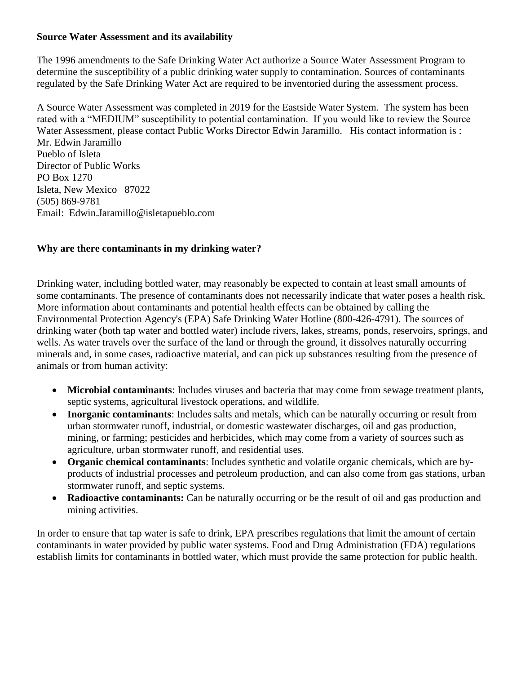#### **Source Water Assessment and its availability**

The 1996 amendments to the Safe Drinking Water Act authorize a Source Water Assessment Program to determine the susceptibility of a public drinking water supply to contamination. Sources of contaminants regulated by the Safe Drinking Water Act are required to be inventoried during the assessment process.

A Source Water Assessment was completed in 2019 for the Eastside Water System. The system has been rated with a "MEDIUM" susceptibility to potential contamination. If you would like to review the Source Water Assessment, please contact Public Works Director Edwin Jaramillo. His contact information is : Mr. Edwin Jaramillo Pueblo of Isleta

Director of Public Works PO Box 1270 Isleta, New Mexico 87022 (505) 869-9781 Email: Edwin.Jaramillo@isletapueblo.com

#### **Why are there contaminants in my drinking water?**

Drinking water, including bottled water, may reasonably be expected to contain at least small amounts of some contaminants. The presence of contaminants does not necessarily indicate that water poses a health risk. More information about contaminants and potential health effects can be obtained by calling the Environmental Protection Agency's (EPA) Safe Drinking Water Hotline (800-426-4791). The sources of drinking water (both tap water and bottled water) include rivers, lakes, streams, ponds, reservoirs, springs, and wells. As water travels over the surface of the land or through the ground, it dissolves naturally occurring minerals and, in some cases, radioactive material, and can pick up substances resulting from the presence of animals or from human activity:

- **Microbial contaminants**: Includes viruses and bacteria that may come from sewage treatment plants, septic systems, agricultural livestock operations, and wildlife.
- **Inorganic contaminants**: Includes salts and metals, which can be naturally occurring or result from urban stormwater runoff, industrial, or domestic wastewater discharges, oil and gas production, mining, or farming; pesticides and herbicides, which may come from a variety of sources such as agriculture, urban stormwater runoff, and residential uses.
- **Organic chemical contaminants**: Includes synthetic and volatile organic chemicals, which are byproducts of industrial processes and petroleum production, and can also come from gas stations, urban stormwater runoff, and septic systems.
- **Radioactive contaminants:** Can be naturally occurring or be the result of oil and gas production and mining activities.

In order to ensure that tap water is safe to drink, EPA prescribes regulations that limit the amount of certain contaminants in water provided by public water systems. Food and Drug Administration (FDA) regulations establish limits for contaminants in bottled water, which must provide the same protection for public health.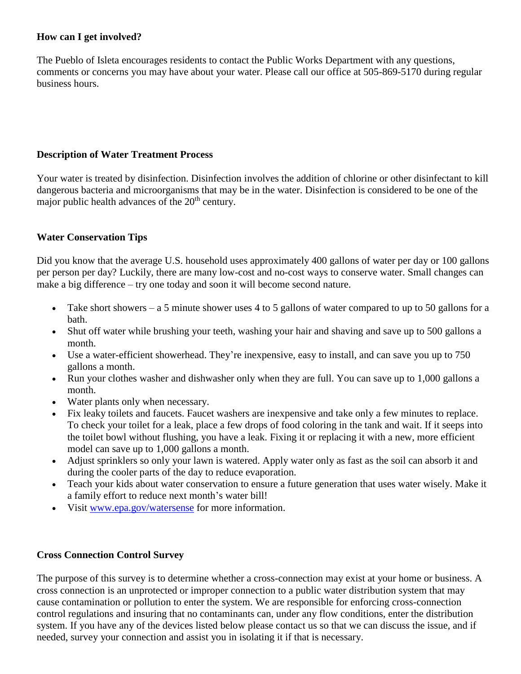#### **How can I get involved?**

The Pueblo of Isleta encourages residents to contact the Public Works Department with any questions, comments or concerns you may have about your water. Please call our office at 505-869-5170 during regular business hours.

#### **Description of Water Treatment Process**

Your water is treated by disinfection. Disinfection involves the addition of chlorine or other disinfectant to kill dangerous bacteria and microorganisms that may be in the water. Disinfection is considered to be one of the major public health advances of the  $20<sup>th</sup>$  century.

#### **Water Conservation Tips**

Did you know that the average U.S. household uses approximately 400 gallons of water per day or 100 gallons per person per day? Luckily, there are many low-cost and no-cost ways to conserve water. Small changes can make a big difference – try one today and soon it will become second nature.

- Take short showers a 5 minute shower uses 4 to 5 gallons of water compared to up to 50 gallons for a bath.
- Shut off water while brushing your teeth, washing your hair and shaving and save up to 500 gallons a month.
- Use a water-efficient showerhead. They're inexpensive, easy to install, and can save you up to 750 gallons a month.
- Run your clothes washer and dishwasher only when they are full. You can save up to 1,000 gallons a month.
- Water plants only when necessary.
- Fix leaky toilets and faucets. Faucet washers are inexpensive and take only a few minutes to replace. To check your toilet for a leak, place a few drops of food coloring in the tank and wait. If it seeps into the toilet bowl without flushing, you have a leak. Fixing it or replacing it with a new, more efficient model can save up to 1,000 gallons a month.
- Adjust sprinklers so only your lawn is watered. Apply water only as fast as the soil can absorb it and during the cooler parts of the day to reduce evaporation.
- Teach your kids about water conservation to ensure a future generation that uses water wisely. Make it a family effort to reduce next month's water bill!
- Visit [www.epa.gov/watersense](http://www.epa.gov/watersense) for more information.

#### **Cross Connection Control Survey**

The purpose of this survey is to determine whether a cross-connection may exist at your home or business. A cross connection is an unprotected or improper connection to a public water distribution system that may cause contamination or pollution to enter the system. We are responsible for enforcing cross-connection control regulations and insuring that no contaminants can, under any flow conditions, enter the distribution system. If you have any of the devices listed below please contact us so that we can discuss the issue, and if needed, survey your connection and assist you in isolating it if that is necessary.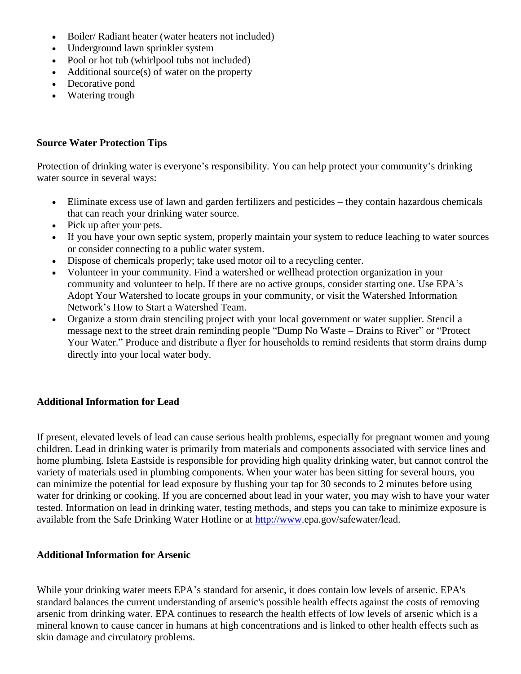- Boiler/ Radiant heater (water heaters not included)
- Underground lawn sprinkler system
- Pool or hot tub (whirlpool tubs not included)
- $\bullet$  Additional source(s) of water on the property
- Decorative pond
- Watering trough

#### **Source Water Protection Tips**

Protection of drinking water is everyone's responsibility. You can help protect your community's drinking water source in several ways:

- Eliminate excess use of lawn and garden fertilizers and pesticides they contain hazardous chemicals that can reach your drinking water source.
- Pick up after your pets.
- If you have your own septic system, properly maintain your system to reduce leaching to water sources or consider connecting to a public water system.
- Dispose of chemicals properly; take used motor oil to a recycling center.
- Volunteer in your community. Find a watershed or wellhead protection organization in your community and volunteer to help. If there are no active groups, consider starting one. Use EPA's Adopt Your Watershed to locate groups in your community, or visit the Watershed Information Network's How to Start a Watershed Team.
- Organize a storm drain stenciling project with your local government or water supplier. Stencil a message next to the street drain reminding people "Dump No Waste – Drains to River" or "Protect Your Water." Produce and distribute a flyer for households to remind residents that storm drains dump directly into your local water body.

#### **Additional Information for Lead**

If present, elevated levels of lead can cause serious health problems, especially for pregnant women and young children. Lead in drinking water is primarily from materials and components associated with service lines and home plumbing. Isleta Eastside is responsible for providing high quality drinking water, but cannot control the variety of materials used in plumbing components. When your water has been sitting for several hours, you can minimize the potential for lead exposure by flushing your tap for 30 seconds to 2 minutes before using water for drinking or cooking. If you are concerned about lead in your water, you may wish to have your water tested. Information on lead in drinking water, testing methods, and steps you can take to minimize exposure is available from the Safe Drinking Water Hotline or at [http://www.](http://www/)epa.gov/safewater/lead.

#### **Additional Information for Arsenic**

While your drinking water meets EPA's standard for arsenic, it does contain low levels of arsenic. EPA's standard balances the current understanding of arsenic's possible health effects against the costs of removing arsenic from drinking water. EPA continues to research the health effects of low levels of arsenic which is a mineral known to cause cancer in humans at high concentrations and is linked to other health effects such as skin damage and circulatory problems.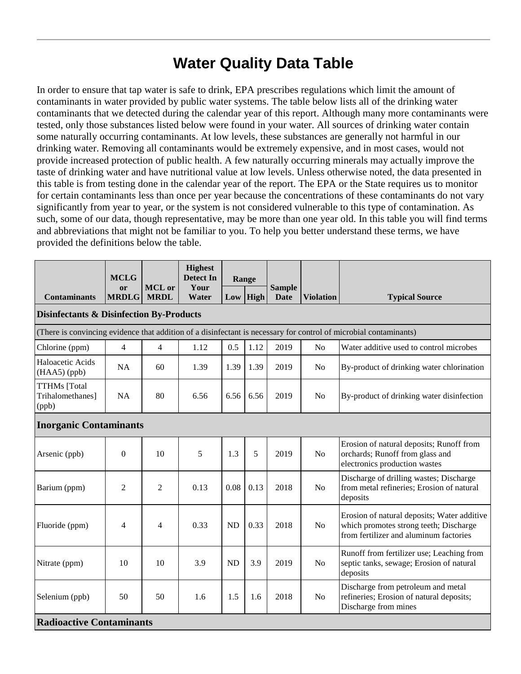### **Water Quality Data Table**

In order to ensure that tap water is safe to drink, EPA prescribes regulations which limit the amount of contaminants in water provided by public water systems. The table below lists all of the drinking water contaminants that we detected during the calendar year of this report. Although many more contaminants were tested, only those substances listed below were found in your water. All sources of drinking water contain some naturally occurring contaminants. At low levels, these substances are generally not harmful in our drinking water. Removing all contaminants would be extremely expensive, and in most cases, would not provide increased protection of public health. A few naturally occurring minerals may actually improve the taste of drinking water and have nutritional value at low levels. Unless otherwise noted, the data presented in this table is from testing done in the calendar year of the report. The EPA or the State requires us to monitor for certain contaminants less than once per year because the concentrations of these contaminants do not vary significantly from year to year, or the system is not considered vulnerable to this type of contamination. As such, some of our data, though representative, may be more than one year old. In this table you will find terms and abbreviations that might not be familiar to you. To help you better understand these terms, we have provided the definitions below the table.

|                                                                                                                   | <b>MCLG</b><br>or | <b>MCL</b> or  | <b>Highest</b><br><b>Detect In</b><br>Your | Range<br>$Low$ High |      | <b>Sample</b> |                  |                                                                                                                                 |  |  |  |
|-------------------------------------------------------------------------------------------------------------------|-------------------|----------------|--------------------------------------------|---------------------|------|---------------|------------------|---------------------------------------------------------------------------------------------------------------------------------|--|--|--|
| <b>Contaminants</b>                                                                                               | <b>MRDLG</b>      | <b>MRDL</b>    | Water                                      |                     |      | <b>Date</b>   | <b>Violation</b> | <b>Typical Source</b>                                                                                                           |  |  |  |
| <b>Disinfectants &amp; Disinfection By-Products</b>                                                               |                   |                |                                            |                     |      |               |                  |                                                                                                                                 |  |  |  |
| (There is convincing evidence that addition of a disinfectant is necessary for control of microbial contaminants) |                   |                |                                            |                     |      |               |                  |                                                                                                                                 |  |  |  |
| Chlorine (ppm)                                                                                                    | $\overline{4}$    | $\overline{4}$ | 1.12                                       | 0.5                 | 1.12 | 2019          | No               | Water additive used to control microbes                                                                                         |  |  |  |
| Haloacetic Acids<br>$(HAA5)$ (ppb)                                                                                | <b>NA</b>         | 60             | 1.39                                       | 1.39                | 1.39 | 2019          | N <sub>0</sub>   | By-product of drinking water chlorination                                                                                       |  |  |  |
| <b>TTHMs</b> [Total<br>Trihalomethanes]<br>(ppb)                                                                  | <b>NA</b>         | 80             | 6.56                                       | 6.56                | 6.56 | 2019          | N <sub>0</sub>   | By-product of drinking water disinfection                                                                                       |  |  |  |
| <b>Inorganic Contaminants</b>                                                                                     |                   |                |                                            |                     |      |               |                  |                                                                                                                                 |  |  |  |
| Arsenic (ppb)                                                                                                     | $\theta$          | 10             | 5                                          | 1.3                 | 5    | 2019          | N <sub>o</sub>   | Erosion of natural deposits; Runoff from<br>orchards; Runoff from glass and<br>electronics production wastes                    |  |  |  |
| Barium (ppm)                                                                                                      | $\overline{2}$    | 2              | 0.13                                       | 0.08                | 0.13 | 2018          | No               | Discharge of drilling wastes; Discharge<br>from metal refineries; Erosion of natural<br>deposits                                |  |  |  |
| Fluoride (ppm)                                                                                                    | 4                 | 4              | 0.33                                       | <b>ND</b>           | 0.33 | 2018          | N <sub>o</sub>   | Erosion of natural deposits; Water additive<br>which promotes strong teeth; Discharge<br>from fertilizer and aluminum factories |  |  |  |
| Nitrate (ppm)                                                                                                     | 10                | 10             | 3.9                                        | <b>ND</b>           | 3.9  | 2019          | N <sub>o</sub>   | Runoff from fertilizer use; Leaching from<br>septic tanks, sewage; Erosion of natural<br>deposits                               |  |  |  |
| Selenium (ppb)                                                                                                    | 50                | 50             | 1.6                                        | 1.5                 | 1.6  | 2018          | N <sub>o</sub>   | Discharge from petroleum and metal<br>refineries; Erosion of natural deposits;<br>Discharge from mines                          |  |  |  |
| <b>Radioactive Contaminants</b>                                                                                   |                   |                |                                            |                     |      |               |                  |                                                                                                                                 |  |  |  |